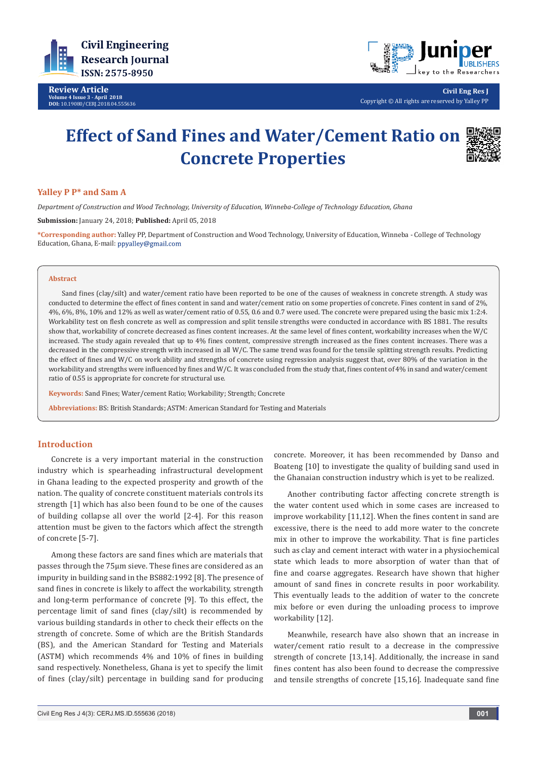

**Review Article Volume 4 Issue 3 - April 2018 DOI:** [10.19080/CERJ.2018.04.555636](http://dx.doi.org/10.19080/CERJ.2018.04.555636)



**Civil Eng Res J** Copyright © All rights are reserved by Yalley PP

# **Effect of Sand Fines and Water/Cement Ratio on Concrete Properties**



# **Yalley P P\* and Sam A**

*Department of Construction and Wood Technology, University of Education, Winneba-College of Technology Education, Ghana*

**Submission:** January 24, 2018; **Published:** April 05, 2018

**\*Corresponding author:** Yalley PP, Department of Construction and Wood Technology, University of Education, Winneba - College of Technology Education, Ghana, E-mail:

#### **Abstract**

Sand fines (clay/silt) and water/cement ratio have been reported to be one of the causes of weakness in concrete strength. A study was conducted to determine the effect of fines content in sand and water/cement ratio on some properties of concrete. Fines content in sand of 2%, 4%, 6%, 8%, 10% and 12% as well as water/cement ratio of 0.55, 0.6 and 0.7 were used. The concrete were prepared using the basic mix 1:2:4. Workability test on flesh concrete as well as compression and split tensile strengths were conducted in accordance with BS 1881. The results show that, workability of concrete decreased as fines content increases. At the same level of fines content, workability increases when the W/C increased. The study again revealed that up to 4% fines content, compressive strength increased as the fines content increases. There was a decreased in the compressive strength with increased in all W/C. The same trend was found for the tensile splitting strength results. Predicting the effect of fines and W/C on work ability and strengths of concrete using regression analysis suggest that, over 80% of the variation in the workability and strengths were influenced by fines and W/C. It was concluded from the study that, fines content of 4% in sand and water/cement ratio of 0.55 is appropriate for concrete for structural use.

**Keywords:** Sand Fines; Water/cement Ratio; Workability; Strength; Concrete

**Abbreviations:** BS: British Standards; ASTM: American Standard for Testing and Materials

## **Introduction**

Concrete is a very important material in the construction industry which is spearheading infrastructural development in Ghana leading to the expected prosperity and growth of the nation. The quality of concrete constituent materials controls its strength [1] which has also been found to be one of the causes of building collapse all over the world [2-4]. For this reason attention must be given to the factors which affect the strength of concrete [5-7].

Among these factors are sand fines which are materials that passes through the 75µm sieve. These fines are considered as an impurity in building sand in the BS882:1992 [8]. The presence of sand fines in concrete is likely to affect the workability, strength and long-term performance of concrete [9]. To this effect, the percentage limit of sand fines (clay/silt) is recommended by various building standards in other to check their effects on the strength of concrete. Some of which are the British Standards (BS), and the American Standard for Testing and Materials (ASTM) which recommends 4% and 10% of fines in building sand respectively. Nonetheless, Ghana is yet to specify the limit of fines (clay/silt) percentage in building sand for producing

concrete. Moreover, it has been recommended by Danso and Boateng [10] to investigate the quality of building sand used in the Ghanaian construction industry which is yet to be realized.

Another contributing factor affecting concrete strength is the water content used which in some cases are increased to improve workability [11,12]. When the fines content in sand are excessive, there is the need to add more water to the concrete mix in other to improve the workability. That is fine particles such as clay and cement interact with water in a physiochemical state which leads to more absorption of water than that of fine and coarse aggregates. Research have shown that higher amount of sand fines in concrete results in poor workability. This eventually leads to the addition of water to the concrete mix before or even during the unloading process to improve workability [12].

Meanwhile, research have also shown that an increase in water/cement ratio result to a decrease in the compressive strength of concrete [13,14]. Additionally, the increase in sand fines content has also been found to decrease the compressive and tensile strengths of concrete [15,16]. Inadequate sand fine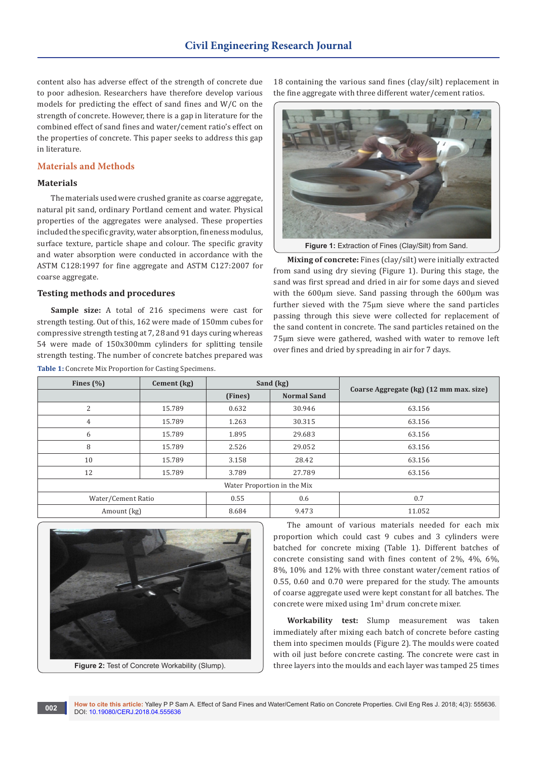content also has adverse effect of the strength of concrete due to poor adhesion. Researchers have therefore develop various models for predicting the effect of sand fines and W/C on the strength of concrete. However, there is a gap in literature for the combined effect of sand fines and water/cement ratio's effect on the properties of concrete. This paper seeks to address this gap in literature.

# **Materials and Methods**

## **Materials**

The materials used were crushed granite as coarse aggregate, natural pit sand, ordinary Portland cement and water. Physical properties of the aggregates were analysed. These properties included the specific gravity, water absorption, fineness modulus, surface texture, particle shape and colour. The specific gravity and water absorption were conducted in accordance with the ASTM C128:1997 for fine aggregate and ASTM C127:2007 for coarse aggregate.

## **Testing methods and procedures**

**Sample size:** A total of 216 specimens were cast for strength testing. Out of this, 162 were made of 150mm cubes for compressive strength testing at 7, 28 and 91 days curing whereas 54 were made of 150x300mm cylinders for splitting tensile strength testing. The number of concrete batches prepared was **Table 1:** Concrete Mix Proportion for Casting Specimens.

18 containing the various sand fines (clay/silt) replacement in the fine aggregate with three different water/cement ratios.



Figure 1: Extraction of Fines (Clay/Silt) from Sand.

**Mixing of concrete:** Fines (clay/silt) were initially extracted from sand using dry sieving (Figure 1). During this stage, the sand was first spread and dried in air for some days and sieved with the  $600\mu$ m sieve. Sand passing through the  $600\mu$ m was further sieved with the 75µm sieve where the sand particles passing through this sieve were collected for replacement of the sand content in concrete. The sand particles retained on the 75µm sieve were gathered, washed with water to remove left over fines and dried by spreading in air for 7 days.

| Fines $(\%)$                | Cement (kg) | Sand (kg) |                    | Coarse Aggregate (kg) (12 mm max. size) |  |  |
|-----------------------------|-------------|-----------|--------------------|-----------------------------------------|--|--|
|                             |             | (Fines)   | <b>Normal Sand</b> |                                         |  |  |
| 2                           | 15.789      | 0.632     | 30.946             | 63.156                                  |  |  |
| 4                           | 15.789      | 1.263     | 30.315             | 63.156                                  |  |  |
| 6                           | 15.789      | 1.895     | 29.683             | 63.156                                  |  |  |
| 8                           | 15.789      | 2.526     | 29.052             | 63.156                                  |  |  |
| 10                          | 15.789      | 3.158     | 28.42              | 63.156                                  |  |  |
| 12                          | 15.789      | 3.789     | 27.789             | 63.156                                  |  |  |
| Water Proportion in the Mix |             |           |                    |                                         |  |  |
| Water/Cement Ratio          |             | 0.55      | 0.6                | 0.7                                     |  |  |
| Amount (kg)                 |             | 8.684     | 9.473              | 11.052                                  |  |  |



The amount of various materials needed for each mix proportion which could cast 9 cubes and 3 cylinders were batched for concrete mixing (Table 1). Different batches of concrete consisting sand with fines content of 2%, 4%, 6%, 8%, 10% and 12% with three constant water/cement ratios of 0.55, 0.60 and 0.70 were prepared for the study. The amounts of coarse aggregate used were kept constant for all batches. The concrete were mixed using 1m<sup>3</sup> drum concrete mixer.

**Workability test:** Slump measurement was taken immediately after mixing each batch of concrete before casting them into specimen moulds (Figure 2). The moulds were coated with oil just before concrete casting. The concrete were cast in three layers into the moulds and each layer was tamped 25 times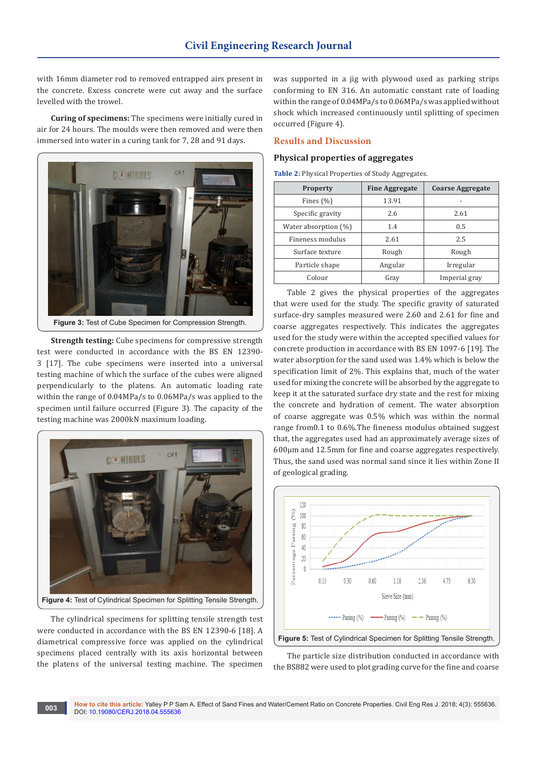with 16mm diameter rod to removed entrapped airs present in the concrete. Excess concrete were cut away and the surface levelled with the trowel.

**Curing of specimens:** The specimens were initially cured in air for 24 hours. The moulds were then removed and were then immersed into water in a curing tank for 7, 28 and 91 days.



**Strength testing:** Cube specimens for compressive strength test were conducted in accordance with the BS EN 12390- 3 [17]. The cube specimens were inserted into a universal testing machine of which the surface of the cubes were aligned perpendicularly to the platens. An automatic loading rate within the range of 0.04MPa/s to 0.06MPa/s was applied to the

specimen until failure occurred (Figure 3). The capacity of the



The cylindrical specimens for splitting tensile strength test were conducted in accordance with the BS EN 12390-6 [18]. A diametrical compressive force was applied on the cylindrical specimens placed centrally with its axis horizontal between the platens of the universal testing machine. The specimen

was supported in a jig with plywood used as parking strips conforming to EN 316. An automatic constant rate of loading within the range of 0.04MPa/s to 0.06MPa/s was applied without shock which increased continuously until splitting of specimen occurred (Figure 4).

## **Results and Discussion**

## **Physical properties of aggregates**

**Table 2:** Physical Properties of Study Aggregates.

| <b>Property</b>      | <b>Fine Aggregate</b> | <b>Coarse Aggregate</b> |  |
|----------------------|-----------------------|-------------------------|--|
| Fines $(\% )$        | 13.91                 |                         |  |
| Specific gravity     | 2.6                   | 2.61                    |  |
| Water absorption (%) | 1.4                   | 0.5                     |  |
| Fineness modulus     | 2.61                  | 2.5                     |  |
| Surface texture      | Rough                 | Rough                   |  |
| Particle shape       | Angular               | Irregular               |  |
| Colour               | Gray                  | Imperial gray           |  |

Table 2 gives the physical properties of the aggregates that were used for the study. The specific gravity of saturated surface-dry samples measured were 2.60 and 2.61 for fine and coarse aggregates respectively. This indicates the aggregates used for the study were within the accepted specified values for concrete production in accordance with BS EN 1097-6 [19]. The water absorption for the sand used was 1.4% which is below the specification limit of 2%. This explains that, much of the water used for mixing the concrete will be absorbed by the aggregate to keep it at the saturated surface dry state and the rest for mixing the concrete and hydration of cement. The water absorption of coarse aggregate was 0.5% which was within the normal range from0.1 to 0.6%.The fineness modulus obtained suggest that, the aggregates used had an approximately average sizes of 600µm and 12.5mm for fine and coarse aggregates respectively. Thus, the sand used was normal sand since it lies within Zone II of geological grading.



The particle size distribution conducted in accordance with the BS882 were used to plot grading curve for the fine and coarse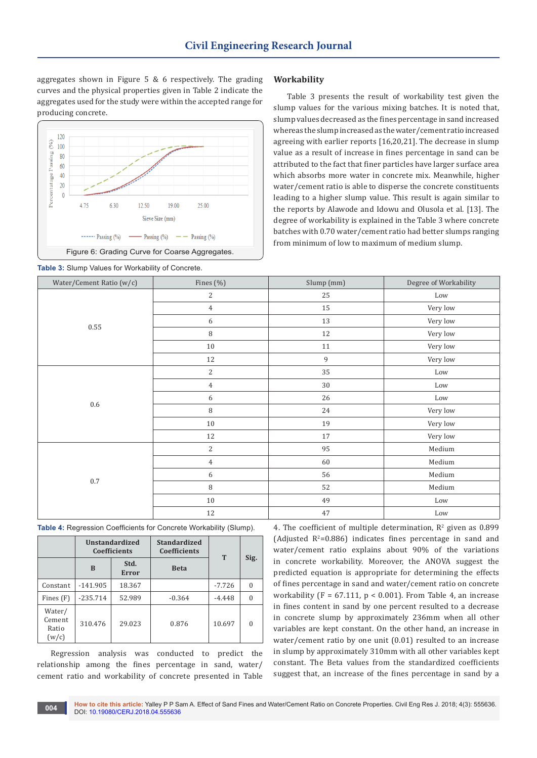aggregates shown in Figure 5 & 6 respectively. The grading curves and the physical properties given in Table 2 indicate the aggregates used for the study were within the accepted range for producing concrete.





## **Workability**

Table 3 presents the result of workability test given the slump values for the various mixing batches. It is noted that, slump values decreased as the fines percentage in sand increased whereas the slump increased as the water/cement ratio increased agreeing with earlier reports [16,20,21]. The decrease in slump value as a result of increase in fines percentage in sand can be attributed to the fact that finer particles have larger surface area which absorbs more water in concrete mix. Meanwhile, higher water/cement ratio is able to disperse the concrete constituents leading to a higher slump value. This result is again similar to the reports by Alawode and Idowu and Olusola et al. [13]. The degree of workability is explained in the Table 3 where concrete batches with 0.70 water/cement ratio had better slumps ranging from minimum of low to maximum of medium slump.

| Water/Cement Ratio (w/c) | Fines (%)      | Slump (mm) | Degree of Workability |
|--------------------------|----------------|------------|-----------------------|
|                          | $\mathbf{2}$   | 25         | Low                   |
|                          | $\overline{4}$ | 15         | Very low              |
|                          | 6              | 13         | Very low              |
| 0.55                     | $\, 8$         | 12         | Very low              |
|                          | $10\,$         | 11         | Very low              |
|                          | 12             | 9          | Very low              |
|                          | $\sqrt{2}$     | 35         | Low                   |
|                          | $\overline{4}$ | 30         | Low                   |
|                          | 6              | 26         | Low                   |
| 0.6                      | $\, 8$         | 24         | Very low              |
|                          | $10\,$         | 19         | Very low              |
|                          | 12             | 17         | Very low              |
|                          | $\sqrt{2}$     | 95         | Medium                |
|                          | $\overline{4}$ | 60         | Medium                |
|                          | 6              | 56         | Medium                |
| $0.7\,$                  | $\, 8$         | 52         | Medium                |
|                          | $10\,$         | 49         | Low                   |
|                          | 12             | 47         | Low                   |

| <b>Table 4:</b> Regression Coefficients for Concrete Workability (Slump). |  |  |
|---------------------------------------------------------------------------|--|--|
|---------------------------------------------------------------------------|--|--|

|                                    | Unstandardized<br><b>Coefficients</b> |                      | <b>Standardized</b><br><b>Coefficients</b> | T        |          |
|------------------------------------|---------------------------------------|----------------------|--------------------------------------------|----------|----------|
|                                    | B                                     | Std.<br><b>Error</b> | <b>Beta</b>                                |          | Sig.     |
| Constant                           | $-141.905$                            | 18.367               |                                            | $-7.726$ | $\theta$ |
| Fines (F)                          | $-235.714$                            | 52.989               | $-0.364$                                   | $-4.448$ | 0        |
| Water/<br>Cement<br>Ratio<br>(w/c) | 310.476                               | 29.023               | 0.876                                      | 10.697   | $\Omega$ |

Regression analysis was conducted to predict the relationship among the fines percentage in sand, water/ cement ratio and workability of concrete presented in Table 4. The coefficient of multiple determination,  $R^2$  given as 0.899  $(Adjusted R<sup>2</sup>=0.886)$  indicates fines percentage in sand and water/cement ratio explains about 90% of the variations in concrete workability. Moreover, the ANOVA suggest the predicted equation is appropriate for determining the effects of fines percentage in sand and water/cement ratio on concrete workability (F =  $67.111$ , p < 0.001). From Table 4, an increase in fines content in sand by one percent resulted to a decrease in concrete slump by approximately 236mm when all other variables are kept constant. On the other hand, an increase in water/cement ratio by one unit (0.01) resulted to an increase in slump by approximately 310mm with all other variables kept constant. The Beta values from the standardized coefficients suggest that, an increase of the fines percentage in sand by a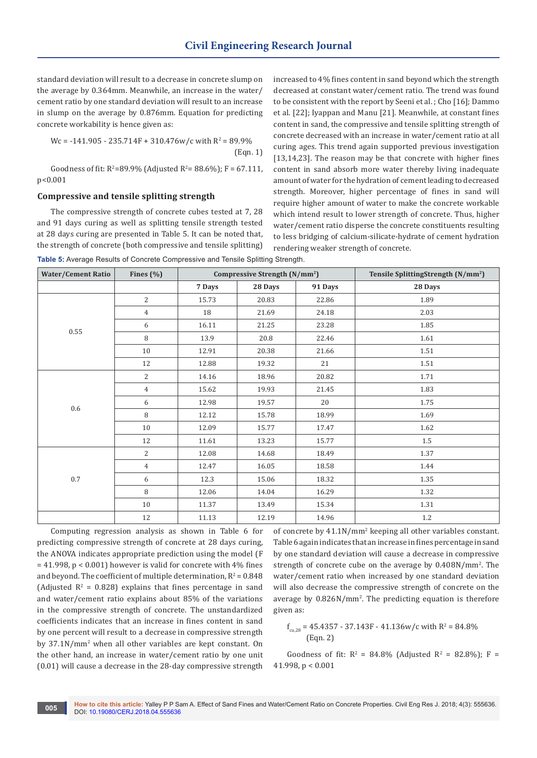standard deviation will result to a decrease in concrete slump on the average by 0.364mm. Meanwhile, an increase in the water/ cement ratio by one standard deviation will result to an increase in slump on the average by 0.876mm. Equation for predicting concrete workability is hence given as:

$$
Wc = -141.905 - 235.714F + 310.476w/c
$$
 with  $R^2 = 89.9\%$  (Eqn. 1)

Goodness of fit:  $R^2 = 89.9\%$  (Adjusted  $R^2 = 88.6\%$ );  $F = 67.111$ , p<0.001

#### **Compressive and tensile splitting strength**

The compressive strength of concrete cubes tested at 7, 28 and 91 days curing as well as splitting tensile strength tested at 28 days curing are presented in Table 5. It can be noted that, the strength of concrete (both compressive and tensile splitting) increased to 4% fines content in sand beyond which the strength decreased at constant water/cement ratio. The trend was found to be consistent with the report by Seeni et al. ; Cho [16]; Dammo et al. [22]; Iyappan and Manu [21]. Meanwhile, at constant fines content in sand, the compressive and tensile splitting strength of concrete decreased with an increase in water/cement ratio at all curing ages. This trend again supported previous investigation [13,14,23]. The reason may be that concrete with higher fines content in sand absorb more water thereby living inadequate amount of water for the hydration of cement leading to decreased strength. Moreover, higher percentage of fines in sand will require higher amount of water to make the concrete workable which intend result to lower strength of concrete. Thus, higher water/cement ratio disperse the concrete constituents resulting to less bridging of calcium-silicate-hydrate of cement hydration rendering weaker strength of concrete.

**Table 5:** Average Results of Concrete Compressive and Tensile Splitting Strength.

| <b>Water/Cement Ratio</b> | Fines $(\% )$  | Compressive Strength (N/mm <sup>2</sup> ) |         |         | Tensile SplittingStrength (N/mm <sup>2</sup> ) |
|---------------------------|----------------|-------------------------------------------|---------|---------|------------------------------------------------|
|                           |                | 7 Days                                    | 28 Days | 91 Days | 28 Days                                        |
|                           | $\overline{2}$ | 15.73                                     | 20.83   | 22.86   | 1.89                                           |
|                           | $\overline{4}$ | 18                                        | 21.69   | 24.18   | 2.03                                           |
|                           | 6              | 16.11                                     | 21.25   | 23.28   | 1.85                                           |
| 0.55                      | 8              | 13.9                                      | 20.8    | 22.46   | 1.61                                           |
|                           | 10             | 12.91                                     | 20.38   | 21.66   | 1.51                                           |
|                           | 12             | 12.88                                     | 19.32   | 21      | 1.51                                           |
| 0.6                       | $\overline{2}$ | 14.16                                     | 18.96   | 20.82   | 1.71                                           |
|                           | $\overline{4}$ | 15.62                                     | 19.93   | 21.45   | 1.83                                           |
|                           | 6              | 12.98                                     | 19.57   | 20      | 1.75                                           |
|                           | 8              | 12.12                                     | 15.78   | 18.99   | 1.69                                           |
|                           | 10             | 12.09                                     | 15.77   | 17.47   | 1.62                                           |
|                           | 12             | 11.61                                     | 13.23   | 15.77   | $1.5\,$                                        |
|                           | $\overline{2}$ | 12.08                                     | 14.68   | 18.49   | 1.37                                           |
| $0.7\,$                   | $\overline{4}$ | 12.47                                     | 16.05   | 18.58   | 1.44                                           |
|                           | 6              | 12.3                                      | 15.06   | 18.32   | 1.35                                           |
|                           | 8              | 12.06                                     | 14.04   | 16.29   | 1.32                                           |
|                           | 10             | 11.37                                     | 13.49   | 15.34   | 1.31                                           |
|                           | $12\,$         | 11.13                                     | 12.19   | 14.96   | 1.2                                            |

Computing regression analysis as shown in Table 6 for predicting compressive strength of concrete at 28 days curing, the ANOVA indicates appropriate prediction using the model (F = 41.998, p < 0.001) however is valid for concrete with 4% fines and beyond. The coefficient of multiple determination,  $R^2 = 0.848$ (Adjusted  $R^2 = 0.828$ ) explains that fines percentage in sand and water/cement ratio explains about 85% of the variations in the compressive strength of concrete. The unstandardized coefficients indicates that an increase in fines content in sand by one percent will result to a decrease in compressive strength by 37.1N/mm<sup>2</sup> when all other variables are kept constant. On the other hand, an increase in water/cement ratio by one unit (0.01) will cause a decrease in the 28-day compressive strength

of concrete by 41.1N/mm<sup>2</sup> keeping all other variables constant. Table 6 again indicates that an increase in fines percentage in sand by one standard deviation will cause a decrease in compressive strength of concrete cube on the average by 0.408N/mm<sup>2</sup> . The water/cement ratio when increased by one standard deviation will also decrease the compressive strength of concrete on the average by 0.826N/mm<sup>2</sup> . The predicting equation is therefore given as:

 $f_{\text{cu,28}} = 45.4357 - 37.143F - 41.136w/c$  with  $R^2 = 84.8\%$ (Eqn. 2)

Goodness of fit:  $R^2 = 84.8\%$  (Adjusted  $R^2 = 82.8\%$ ); F = 41.998, p < 0.001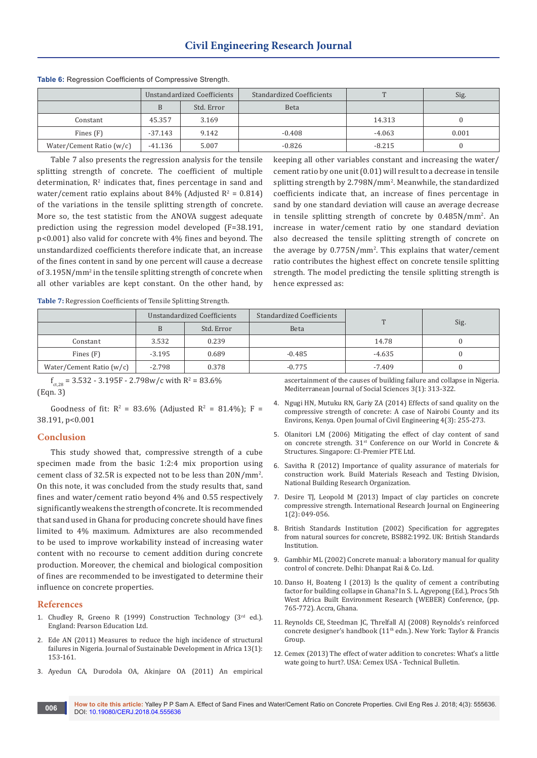|                          | Unstandardized Coefficients |            | Standardized Coefficients | $\mathbf{r}$ | Sig.  |
|--------------------------|-----------------------------|------------|---------------------------|--------------|-------|
|                          |                             | Std. Error | <b>Beta</b>               |              |       |
| Constant                 | 45.357                      | 3.169      |                           | 14.313       |       |
| Fines $(F)$              | $-37.143$                   | 9.142      | $-0.408$                  | $-4.063$     | 0.001 |
| Water/Cement Ratio (w/c) | -41.136                     | 5.007      | $-0.826$                  | $-8.215$     |       |

**Table 6:** Regression Coefficients of Compressive Strength.

Table 7 also presents the regression analysis for the tensile splitting strength of concrete. The coefficient of multiple determination,  $\mathbb{R}^2$  indicates that, fines percentage in sand and water/cement ratio explains about 84% (Adjusted  $R^2 = 0.814$ ) of the variations in the tensile splitting strength of concrete. More so, the test statistic from the ANOVA suggest adequate prediction using the regression model developed (F=38.191, p<0.001) also valid for concrete with 4% fines and beyond. The unstandardized coefficients therefore indicate that, an increase of the fines content in sand by one percent will cause a decrease of 3.195N/mm<sup>2</sup> in the tensile splitting strength of concrete when all other variables are kept constant. On the other hand, by

keeping all other variables constant and increasing the water/ cement ratio by one unit (0.01) will result to a decrease in tensile splitting strength by 2.798N/mm<sup>2</sup> . Meanwhile, the standardized coefficients indicate that, an increase of fines percentage in sand by one standard deviation will cause an average decrease in tensile splitting strength of concrete by 0.485N/mm<sup>2</sup> . An increase in water/cement ratio by one standard deviation also decreased the tensile splitting strength of concrete on the average by 0.775N/mm<sup>2</sup> . This explains that water/cement ratio contributes the highest effect on concrete tensile splitting strength. The model predicting the tensile splitting strength is hence expressed as:

**Table 7:** Regression Coefficients of Tensile Splitting Strength.

|                          | Unstandardized Coefficients |            | Standardized Coefficients | $\mathbf{r}$ |      |
|--------------------------|-----------------------------|------------|---------------------------|--------------|------|
|                          |                             | Std. Error | Beta                      |              | Sig. |
| Constant                 | 3.532                       | 0.239      |                           | 14.78        |      |
| Fines $(F)$              | $-3.195$                    | 0.689      | $-0.485$                  | -4.635       |      |
| Water/Cement Ratio (w/c) | $-2.798$                    | 0.378      | $-0.775$                  | $-7.409$     |      |

 $f_{\rm ct,28}$  = 3.532 - 3.195F - 2.798w/c with R<sup>2</sup> = 83.6% (Eqn. 3)

Goodness of fit:  $R^2 = 83.6\%$  (Adjusted  $R^2 = 81.4\%$ ); F = 38.191, p<0.001

## **Conclusion**

This study showed that, compressive strength of a cube specimen made from the basic 1:2:4 mix proportion using cement class of 32.5R is expected not to be less than 20N/mm<sup>2</sup> . On this note, it was concluded from the study results that, sand fines and water/cement ratio beyond 4% and 0.55 respectively significantly weakens the strength of concrete. It is recommended that sand used in Ghana for producing concrete should have fines limited to 4% maximum. Admixtures are also recommended to be used to improve workability instead of increasing water content with no recourse to cement addition during concrete production. Moreover, the chemical and biological composition of fines are recommended to be investigated to determine their influence on concrete properties.

#### **References**

- 1. Chudley R, Greeno R (1999) Construction Technology  $(3<sup>rd</sup>$  ed.). England: Pearson Education Ltd.
- 2. Ede AN (2011) Measures to reduce the high incidence of structural failures in Nigeria. Journal of Sustainable Development in Africa 13(1): 153-161.
- 3. Ayedun CA, Durodola OA, Akinjare OA (2011) An empirical

ascertainment of the causes of building failure and collapse in Nigeria. Mediterranean Journal of Social Sciences 3(1): 313-322.

- 4. [Ngugi HN, Mutuku RN, Gariy ZA \(2014\) Effects of sand quality on the](https://www.scirp.org/journal/PaperInformation.aspx?PaperID=49799)  [compressive strength of concrete: A case of Nairobi County and its](https://www.scirp.org/journal/PaperInformation.aspx?PaperID=49799)  [Environs, Kenya. Open Journal of Civil Engineering 4\(3\): 255-273](https://www.scirp.org/journal/PaperInformation.aspx?PaperID=49799).
- 5. [Olanitori LM \(2006\) Mitigating the effect of clay content of sand](http://www.cipremier.net/e107_files/downloads/Papers/100/31/100031035.pdf)  on concrete strength. 31<sup>st</sup> Conference on our World in Concrete & [Structures. Singapore: CI-Premier PTE Ltd.](http://www.cipremier.net/e107_files/downloads/Papers/100/31/100031035.pdf)
- 6. [Savitha R \(2012\) Importance of quality assurance of materials for](http://www.nbro.gov.lk/images/content_image/publications/symposia/2010/importance_of_quality_assurance.pdf)  [construction work. Build Materials Reseach and Testing Division,](http://www.nbro.gov.lk/images/content_image/publications/symposia/2010/importance_of_quality_assurance.pdf)  [National Building Research Organization](http://www.nbro.gov.lk/images/content_image/publications/symposia/2010/importance_of_quality_assurance.pdf).
- 7. [Desire TJ, Leopold M \(2013\) Impact of clay particles on concrete](http://apexjournal.org/irje/archive/2013/Dec/fulltext/Desire%20and%20Leopold.pdf)  [compressive strength. International Research Journal on Engineering](http://apexjournal.org/irje/archive/2013/Dec/fulltext/Desire%20and%20Leopold.pdf)  [1\(2\): 049-056](http://apexjournal.org/irje/archive/2013/Dec/fulltext/Desire%20and%20Leopold.pdf).
- 8. [British Standards Institution \(2002\) Specification for aggregates](http://www.c-s-h.ir/wp-content/uploads/2015/10/BS-882.pdf)  [from natural sources for concrete, BS882:1992. UK: British Standards](http://www.c-s-h.ir/wp-content/uploads/2015/10/BS-882.pdf)  [Institution.](http://www.c-s-h.ir/wp-content/uploads/2015/10/BS-882.pdf)
- 9. Gambhir ML (2002) Concrete manual: a laboratory manual for quality control of concrete. Delhi: Dhanpat Rai & Co. Ltd.
- 10. Danso H, Boateng I (2013) Is the quality of cement a contributing factor for building collapse in Ghana? In S. L. Agyepong (Ed.), Procs 5th West Africa Built Environment Research (WEBER) Conference, (pp. 765-772). Accra, Ghana.
- 11. Reynolds CE, Steedman JC, Threlfall AJ (2008) Reynolds's reinforced concrete designer's handbook (11<sup>th</sup> edn.). New York: Taylor & Francis Group.
- 12. Cemex (2013) The effect of water addition to concretes: What's a little wate going to hurt?. USA: Cemex USA - Technical Bulletin.